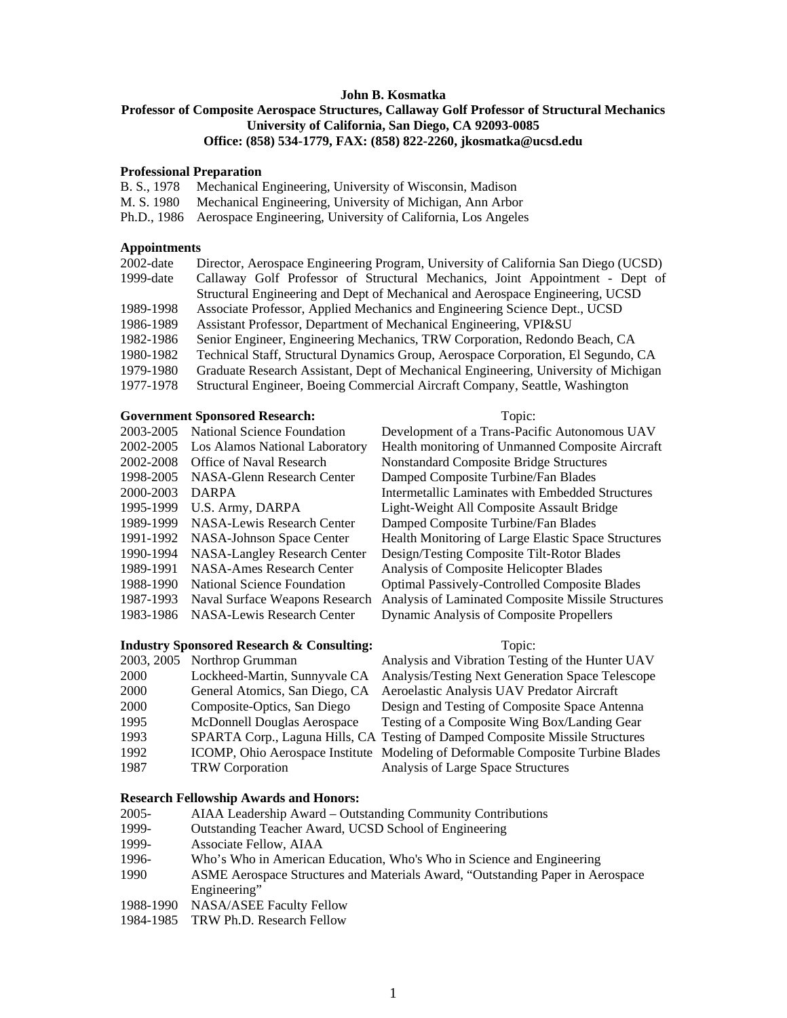### **John B. Kosmatka**

# **Professor of Composite Aerospace Structures, Callaway Golf Professor of Structural Mechanics University of California, San Diego, CA 92093-0085 Office: (858) 534-1779, FAX: (858) 822-2260, jkosmatka@ucsd.edu**

### **Professional Preparation**

|  |  |  | B. S., 1978 Mechanical Engineering, University of Wisconsin, Madison |  |  |
|--|--|--|----------------------------------------------------------------------|--|--|
|--|--|--|----------------------------------------------------------------------|--|--|

- M. S. 1980 Mechanical Engineering, University of Michigan, Ann Arbor
- Ph.D., 1986 Aerospace Engineering, University of California, Los Angeles

### **Appointments**

| 2002-date    | Director, Aerospace Engineering Program, University of California San Diego (UCSD)  |
|--------------|-------------------------------------------------------------------------------------|
| $1999$ -date | Callaway Golf Professor of Structural Mechanics, Joint Appointment - Dept of        |
|              | Structural Engineering and Dept of Mechanical and Aerospace Engineering, UCSD       |
| 1989-1998    | Associate Professor, Applied Mechanics and Engineering Science Dept., UCSD          |
| 1986-1989    | Assistant Professor, Department of Mechanical Engineering, VPI&SU                   |
| 1982-1986    | Senior Engineer, Engineering Mechanics, TRW Corporation, Redondo Beach, CA          |
| 1980-1982    | Technical Staff, Structural Dynamics Group, Aerospace Corporation, El Segundo, CA   |
| 1979-1980    | Graduate Research Assistant, Dept of Mechanical Engineering, University of Michigan |
| 1977-1978    | Structural Engineer, Boeing Commercial Aircraft Company, Seattle, Washington        |
|              |                                                                                     |

# **Government Sponsored Research:** Topic:

| 2003-2005 | National Science Foundation         |
|-----------|-------------------------------------|
| 2002-2005 | Los Alamos National Laboratory      |
| 2002-2008 | Office of Naval Research            |
| 1998-2005 | NASA-Glenn Research Center          |
| 2000-2003 | <b>DARPA</b>                        |
| 1995-1999 | U.S. Army, DARPA                    |
| 1989-1999 | NASA-Lewis Research Center          |
| 1991-1992 | <b>NASA-Johnson Space Center</b>    |
| 1990-1994 | <b>NASA-Langley Research Center</b> |
| 1989-1991 | <b>NASA-Ames Research Center</b>    |
| 1988-1990 | National Science Foundation         |
| 1987-1993 | Naval Surface Weapons Research      |
| 1983-1986 | NASA-Lewis Research Center          |
|           |                                     |

### **Industry Sponsored Research & Consulting:** Topic:

|      | 2003, 2005 Northrop Grumman     |
|------|---------------------------------|
| 2000 | Lockheed-Martin, Sunnyvale CA   |
| 2000 | General Atomics, San Diego, CA  |
| 2000 | Composite-Optics, San Diego     |
| 1995 | McDonnell Douglas Aerospace     |
| 1993 | SPARTA Corp., Laguna Hills, CA  |
| 1992 | ICOMP, Ohio Aerospace Institute |
| 1987 | <b>TRW</b> Corporation          |
|      |                                 |

### **Research Fellowship Awards and Honors:**

- 2005- AIAA Leadership Award Outstanding Community Contributions
- 1999- Outstanding Teacher Award, UCSD School of Engineering
- 1999- Associate Fellow, AIAA
- 1996- Who's Who in American Education, Who's Who in Science and Engineering
- 1990 ASME Aerospace Structures and Materials Award, "Outstanding Paper in Aerospace Engineering"
- 1988-1990 NASA/ASEE Faculty Fellow
- 1984-1985 TRW Ph.D. Research Fellow

Development of a Trans-Pacific Autonomous UAV Health monitoring of Unmanned Composite Aircraft **Nonstandard Composite Bridge Structures** Damped Composite Turbine/Fan Blades Intermetallic Laminates with Embedded Structures Light-Weight All Composite Assault Bridge Damped Composite Turbine/Fan Blades Health Monitoring of Large Elastic Space Structures Design/Testing Composite Tilt-Rotor Blades Analysis of Composite Helicopter Blades Optimal Passively-Controlled Composite Blades Analysis of Laminated Composite Missile Structures Dynamic Analysis of Composite Propellers

Analysis and Vibration Testing of the Hunter UAV Analysis/Testing Next Generation Space Telescope Aeroelastic Analysis UAV Predator Aircraft Design and Testing of Composite Space Antenna Testing of a Composite Wing Box/Landing Gear Testing of Damped Composite Missile Structures Modeling of Deformable Composite Turbine Blades Analysis of Large Space Structures